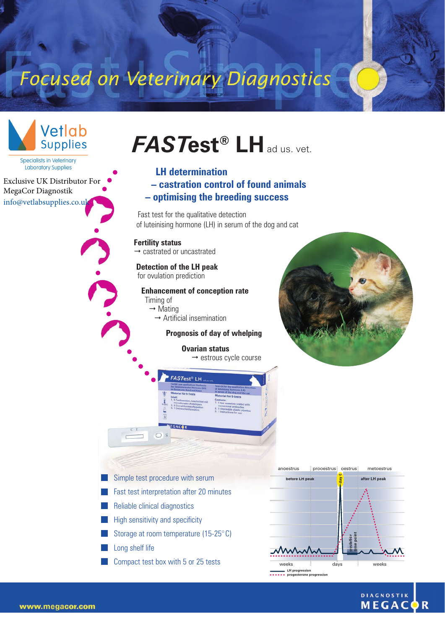# Focused on Veterinary Diagnostics



**DIAGNOSTIK** MEGA